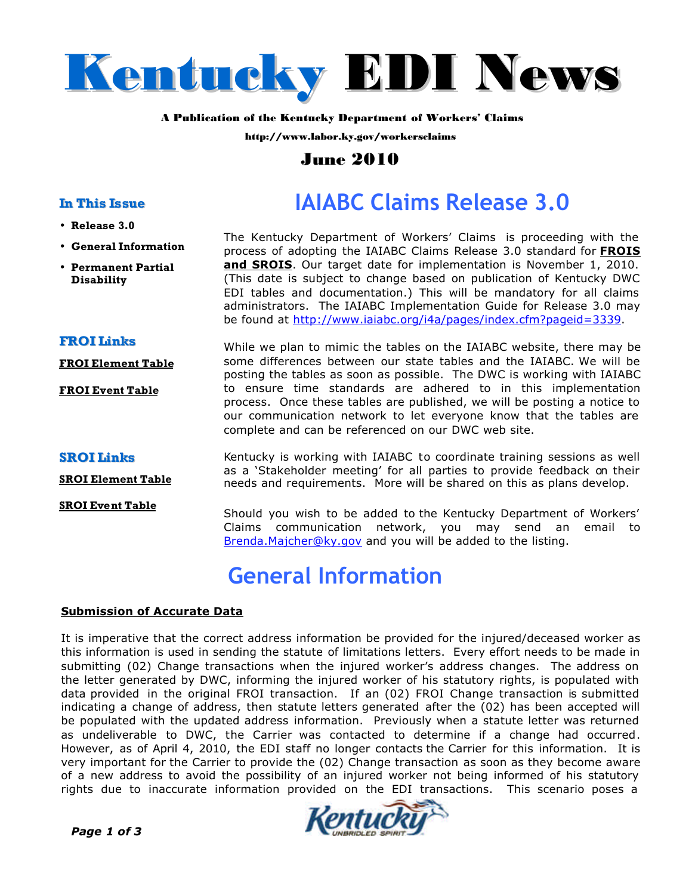

#### **A Publication of the Kentucky Department of Workers' Claims**

**http://www.labor.ky.gov/workersclaims**

### **June 2010**

### **In This Issue**

- **Release 3.0**
- **General Information**
- **Permanent Partial Disability**

# **IAIABC Claims Release 3.0**

The Kentucky Department of Workers' Claims is proceeding with the process of adopting the IAIABC Claims Release 3.0 standard for **FROIS and SROIS**. Our target date for implementation is November 1, 2010. (This date is subject to change based on publication of Kentucky DWC EDI tables and documentation.) This will be mandatory for all claims administrators. The IAIABC Implementation Guide for Release 3.0 may be found at http://www.iaiabc.org/i4a/pages/index.cfm?pageid=3339.

**FROI Links**

**FROI Element Table**

**FROI Event Table**

While we plan to mimic the tables on the IAIABC website, there may be some differences between our state tables and the IAIABC. We will be posting the tables as soon as possible. The DWC is working with IAIABC to ensure time standards are adhered to in this implementation process. Once these tables are published, we will be posting a notice to our communication network to let everyone know that the tables are complete and can be referenced on our DWC web site.

#### **SROI Links**

**SROI Element Table**

**SROI Event Table**

Kentucky is working with IAIABC to coordinate training sessions as well as a 'Stakeholder meeting' for all parties to provide feedback on their needs and requirements. More will be shared on this as plans develop.

Should you wish to be added to the Kentucky Department of Workers' Claims communication network, you may send an email to Brenda.Majcher@ky.gov and you will be added to the listing.

## **General Information**

#### **Submission of Accurate Data**

It is imperative that the correct address information be provided for the injured/deceased worker as this information is used in sending the statute of limitations letters. Every effort needs to be made in submitting (02) Change transactions when the injured worker's address changes. The address on the letter generated by DWC, informing the injured worker of his statutory rights, is populated with data provided in the original FROI transaction. If an (02) FROI Change transaction is submitted indicating a change of address, then statute letters generated after the (02) has been accepted will be populated with the updated address information. Previously when a statute letter was returned as undeliverable to DWC, the Carrier was contacted to determine if a change had occurred. However, as of April 4, 2010, the EDI staff no longer contacts the Carrier for this information. It is very important for the Carrier to provide the (02) Change transaction as soon as they become aware of a new address to avoid the possibility of an injured worker not being informed of his statutory rights due to inaccurate information provided on the EDI transactions. This scenario poses a

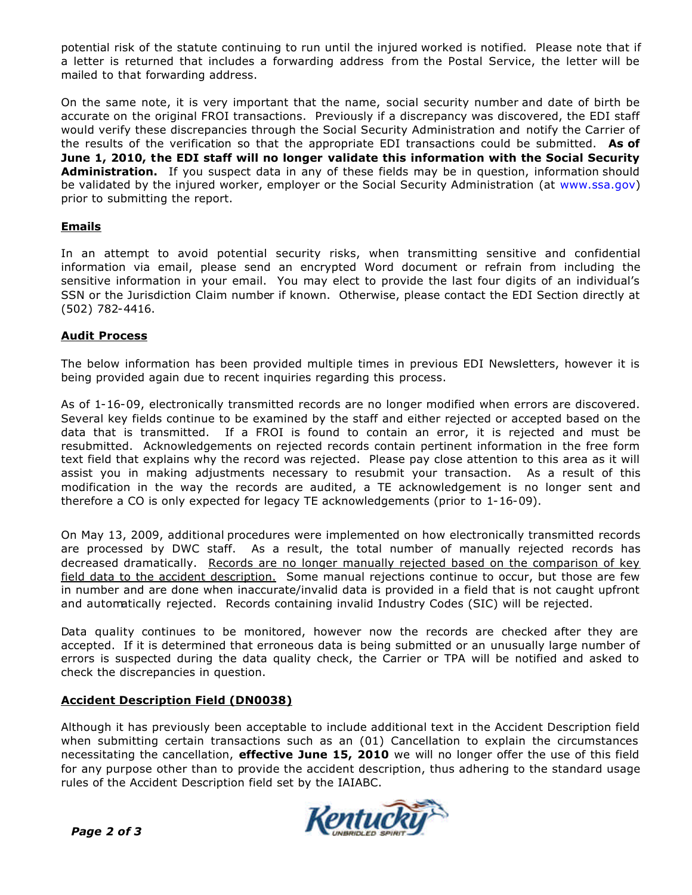potential risk of the statute continuing to run until the injured worked is notified. Please note that if a letter is returned that includes a forwarding address from the Postal Service, the letter will be mailed to that forwarding address.

On the same note, it is very important that the name, social security number and date of birth be accurate on the original FROI transactions. Previously if a discrepancy was discovered, the EDI staff would verify these discrepancies through the Social Security Administration and notify the Carrier of the results of the verification so that the appropriate EDI transactions could be submitted. **As of June 1, 2010, the EDI staff will no longer validate this information with the Social Security Administration.** If you suspect data in any of these fields may be in question, information should be validated by the injured worker, employer or the Social Security Administration (at www.ssa.gov) prior to submitting the report.

### **Emails**

In an attempt to avoid potential security risks, when transmitting sensitive and confidential information via email, please send an encrypted Word document or refrain from including the sensitive information in your email. You may elect to provide the last four digits of an individual's SSN or the Jurisdiction Claim number if known. Otherwise, please contact the EDI Section directly at (502) 782-4416.

### **Audit Process**

The below information has been provided multiple times in previous EDI Newsletters, however it is being provided again due to recent inquiries regarding this process.

As of 1-16-09, electronically transmitted records are no longer modified when errors are discovered. Several key fields continue to be examined by the staff and either rejected or accepted based on the data that is transmitted. If a FROI is found to contain an error, it is rejected and must be resubmitted. Acknowledgements on rejected records contain pertinent information in the free form text field that explains why the record was rejected. Please pay close attention to this area as it will assist you in making adjustments necessary to resubmit your transaction. As a result of this modification in the way the records are audited, a TE acknowledgement is no longer sent and therefore a CO is only expected for legacy TE acknowledgements (prior to 1-16-09).

On May 13, 2009, additional procedures were implemented on how electronically transmitted records are processed by DWC staff. As a result, the total number of manually rejected records has decreased dramatically. Records are no longer manually rejected based on the comparison of key field data to the accident description. Some manual rejections continue to occur, but those are few in number and are done when inaccurate/invalid data is provided in a field that is not caught upfront and automatically rejected. Records containing invalid Industry Codes (SIC) will be rejected.

Data quality continues to be monitored, however now the records are checked after they are accepted. If it is determined that erroneous data is being submitted or an unusually large number of errors is suspected during the data quality check, the Carrier or TPA will be notified and asked to check the discrepancies in question.

#### **Accident Description Field (DN0038)**

Although it has previously been acceptable to include additional text in the Accident Description field when submitting certain transactions such as an (01) Cancellation to explain the circumstances necessitating the cancellation, **effective June 15, 2010** we will no longer offer the use of this field for any purpose other than to provide the accident description, thus adhering to the standard usage rules of the Accident Description field set by the IAIABC.